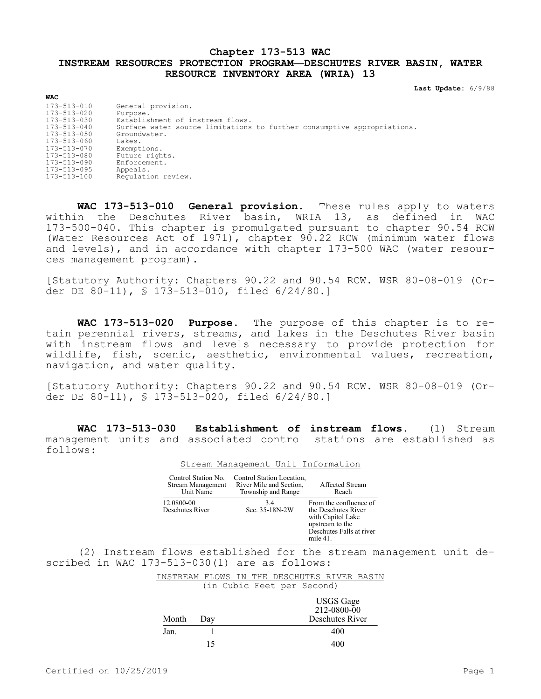## **Chapter 173-513 WAC INSTREAM RESOURCES PROTECTION PROGRAM—DESCHUTES RIVER BASIN, WATER RESOURCE INVENTORY AREA (WRIA) 13**

**Last Update:** 6/9/88

| WAC                                                                                                                                                      |                                                                                                                                                                                                                          |
|----------------------------------------------------------------------------------------------------------------------------------------------------------|--------------------------------------------------------------------------------------------------------------------------------------------------------------------------------------------------------------------------|
| 173-513-010<br>173-513-020<br>173-513-030<br>$173 - 513 - 040$<br>173-513-050<br>173-513-060<br>173-513-070<br>173-513-080<br>173-513-090<br>173-513-095 | General provision.<br>Purpose.<br>Establishment of instream flows.<br>Surface water source limitations to further consumptive appropriations.<br>Groundwater.<br>Lakes.<br>Exemptions.<br>Future rights.<br>Enforcement. |
| 173-513-100                                                                                                                                              | Appeals.<br>Requlation review.                                                                                                                                                                                           |
|                                                                                                                                                          |                                                                                                                                                                                                                          |

**WAC 173-513-010 General provision.** These rules apply to waters within the Deschutes River basin, WRIA 13, as defined in WAC 173-500-040. This chapter is promulgated pursuant to chapter 90.54 RCW (Water Resources Act of 1971), chapter 90.22 RCW (minimum water flows and levels), and in accordance with chapter 173-500 WAC (water resources management program).

[Statutory Authority: Chapters 90.22 and 90.54 RCW. WSR 80-08-019 (Order DE 80-11), § 173-513-010, filed 6/24/80.]

**WAC 173-513-020 Purpose.** The purpose of this chapter is to retain perennial rivers, streams, and lakes in the Deschutes River basin with instream flows and levels necessary to provide protection for wildlife, fish, scenic, aesthetic, environmental values, recreation, navigation, and water quality.

[Statutory Authority: Chapters 90.22 and 90.54 RCW. WSR 80-08-019 (Order DE 80-11), § 173-513-020, filed 6/24/80.]

**WAC 173-513-030 Establishment of instream flows.** (1) Stream management units and associated control stations are established as follows:

Stream Management Unit Information

| Control Station No.<br>Stream Management<br>Unit Name | Control Station Location,<br>River Mile and Section,<br>Township and Range | Affected Stream<br>Reach                                                                                                         |
|-------------------------------------------------------|----------------------------------------------------------------------------|----------------------------------------------------------------------------------------------------------------------------------|
| 12.0800-00<br>Deschutes River                         | 3.4<br>Sec. 35-18N-2W                                                      | From the confluence of<br>the Deschutes River<br>with Capitol Lake<br>upstream to the<br>Deschutes Falls at river<br>mile $41$ . |

(2) Instream flows established for the stream management unit described in WAC 173-513-030(1) are as follows:

> INSTREAM FLOWS IN THE DESCHUTES RIVER BASIN (in Cubic Feet per Second)

|       |     | <b>USGS</b> Gage<br>212-0800-00 |
|-------|-----|---------------------------------|
| Month | Day | Deschutes River                 |
| Jan.  |     | 400                             |
|       | 15  | 400                             |

 $\overline{u}$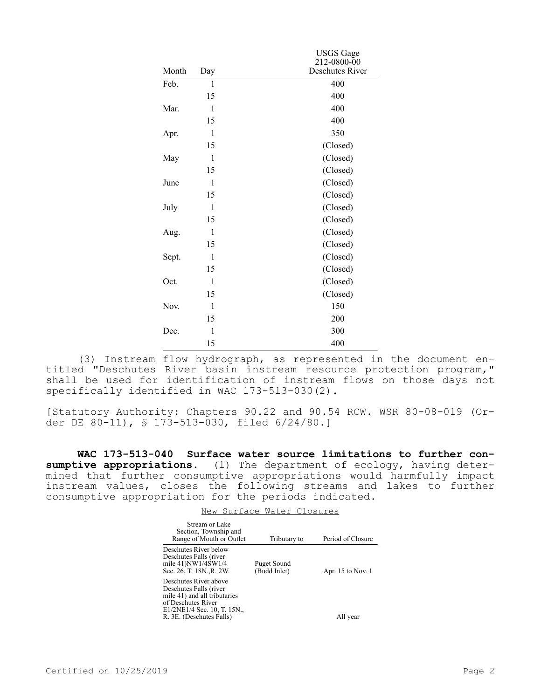|       |              | <b>USGS</b> Gage |
|-------|--------------|------------------|
|       |              | 212-0800-00      |
| Month | Day          | Deschutes River  |
| Feb.  | $\mathbf{1}$ | 400              |
|       | 15           | 400              |
| Mar.  | $\mathbf{1}$ | 400              |
|       | 15           | 400              |
| Apr.  | 1            | 350              |
|       | 15           | (Closed)         |
| May   | 1            | (Closed)         |
|       | 15           | (Closed)         |
| June  | 1            | (Closed)         |
|       | 15           | (Closed)         |
| July  | 1            | (Closed)         |
|       | 15           | (Closed)         |
| Aug.  | 1            | (Closed)         |
|       | 15           | (Closed)         |
| Sept. | $\mathbf{1}$ | (Closed)         |
|       | 15           | (Closed)         |
| Oct.  | $\mathbf{1}$ | (Closed)         |
|       | 15           | (Closed)         |
| Nov.  | $\mathbf{1}$ | 150              |
|       | 15           | 200              |
| Dec.  | $\mathbf{1}$ | 300              |
|       | 15           | 400              |

(3) Instream flow hydrograph, as represented in the document entitled "Deschutes River basin instream resource protection program," shall be used for identification of instream flows on those days not specifically identified in WAC 173-513-030(2).

[Statutory Authority: Chapters 90.22 and 90.54 RCW. WSR 80-08-019 (Order DE 80-11), § 173-513-030, filed 6/24/80.]

**WAC 173-513-040 Surface water source limitations to further con**sumptive appropriations. (1) The department of ecology, having determined that further consumptive appropriations would harmfully impact instream values, closes the following streams and lakes to further consumptive appropriation for the periods indicated.

|                                                                                                                                      | New Surface Water Closures  |                     |
|--------------------------------------------------------------------------------------------------------------------------------------|-----------------------------|---------------------|
| Stream or Lake<br>Section, Township and<br>Range of Mouth or Outlet                                                                  | Tributary to                | Period of Closure   |
| Deschutes River below<br>Deschutes Falls (river<br>mile 41)NW1/4SW1/4<br>Sec. 26, T. 18N.,R. 2W.                                     | Puget Sound<br>(Budd Inlet) | Apr. $15$ to Nov. 1 |
| Deschutes River above<br>Deschutes Falls (river<br>mile 41) and all tributaries<br>of Deschutes River<br>E1/2NE1/4 Sec. 10, T. 15N., |                             |                     |
| R. 3E. (Deschutes Falls)                                                                                                             |                             | All vear            |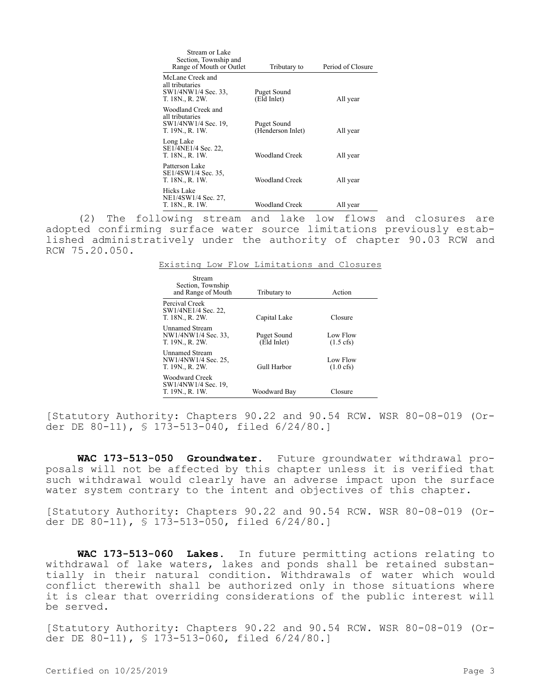| Stream or Lake<br>Section, Township and<br>Range of Mouth or Outlet             | Tributary to                     | Period of Closure |
|---------------------------------------------------------------------------------|----------------------------------|-------------------|
| McLane Creek and<br>all tributaries<br>SW1/4NW1/4 Sec. 33,<br>T. 18N., R. 2W.   | Puget Sound<br>(Eld Inlet)       | All year          |
| Woodland Creek and<br>all tributaries<br>SW1/4NW1/4 Sec. 19,<br>T. 19N., R. 1W. | Puget Sound<br>(Henderson Inlet) | All year          |
| Long Lake<br>SE1/4NE1/4 Sec. 22,<br>T. 18N., R. 1W.                             | Woodland Creek                   | All year          |
| Patterson Lake<br>SE1/4SW1/4 Sec. 35,<br>T. 18N., R. 1W.                        | Woodland Creek                   | All year          |
| Hicks Lake<br>NE1/4SW1/4 Sec. 27,<br>T. 18N., R. 1W.                            | Woodland Creek                   | All year          |

(2) The following stream and lake low flows and closures are adopted confirming surface water source limitations previously established administratively under the authority of chapter 90.03 RCW and RCW 75.20.050.

|  | Existing Low Flow Limitations and Closures |  |
|--|--------------------------------------------|--|
|  |                                            |  |

| Stream<br>Section, Township<br>and Range of Mouth               | Tributary to               | Action                          |
|-----------------------------------------------------------------|----------------------------|---------------------------------|
| Percival Creek<br>SW1/4NE1/4 Sec. 22,<br>T. 18N., R. 2W.        | Capital Lake               | Closure                         |
| <b>Unnamed Stream</b><br>NW1/4NW1/4 Sec. 33,<br>T. 19N., R. 2W. | Puget Sound<br>(Eld Inlet) | Low Flow<br>$(1.5 \text{ cfs})$ |
| <b>Unnamed Stream</b><br>NW1/4NW1/4 Sec. 25,<br>T. 19N., R. 2W. | Gull Harbor                | Low Flow<br>$(1.0 \text{ cfs})$ |
| Woodward Creek<br>SW1/4NW1/4 Sec. 19,<br>T. 19N., R. 1W.        | Woodward Bay               | Closure                         |

[Statutory Authority: Chapters 90.22 and 90.54 RCW. WSR 80-08-019 (Order DE 80-11), § 173-513-040, filed 6/24/80.]

**WAC 173-513-050 Groundwater.** Future groundwater withdrawal proposals will not be affected by this chapter unless it is verified that such withdrawal would clearly have an adverse impact upon the surface water system contrary to the intent and objectives of this chapter.

[Statutory Authority: Chapters 90.22 and 90.54 RCW. WSR 80-08-019 (Order DE 80-11), § 173-513-050, filed 6/24/80.]

**WAC 173-513-060 Lakes.** In future permitting actions relating to withdrawal of lake waters, lakes and ponds shall be retained substantially in their natural condition. Withdrawals of water which would conflict therewith shall be authorized only in those situations where it is clear that overriding considerations of the public interest will be served.

[Statutory Authority: Chapters 90.22 and 90.54 RCW. WSR 80-08-019 (Order DE 80-11), § 173-513-060, filed 6/24/80.]